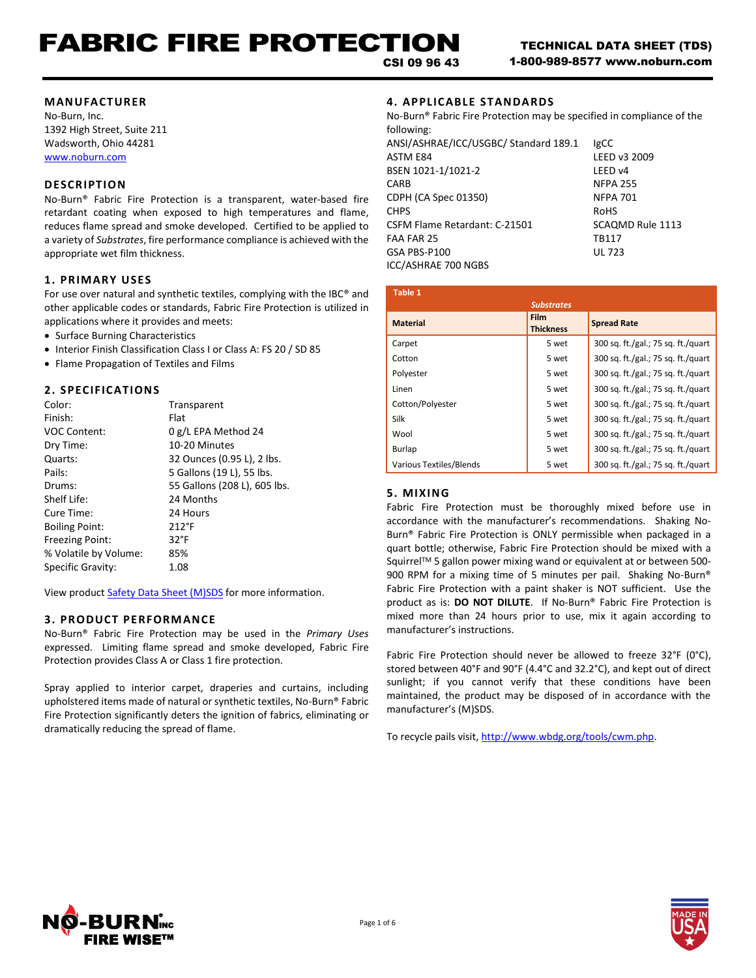#### **MANUFACTURER**

No-Burn, Inc. 1392 High Street, Suite 211 Wadsworth, Ohio 44281 [www.noburn.com](http://www.noburn.com/)

## **DESCRIPTION**

No-Burn® Fabric Fire Protection is a transparent, water-based fire retardant coating when exposed to high temperatures and flame, reduces flame spread and smoke developed. Certified to be applied to a variety of *Substrates*, fire performance compliance is achieved with the appropriate wet film thickness.

# **1. PRIM ARY USES**

For use over natural and synthetic textiles, complying with the IBC® and other applicable codes or standards, Fabric Fire Protection is utilized in applications where it provides and meets:

- Surface Burning Characteristics
- Interior Finish Classification Class I or Class A: FS 20 / SD 85
- Flame Propagation of Textiles and Films

# **2. SPECIFICATIONS**

| Color:                 | Transparent                  |
|------------------------|------------------------------|
| Finish:                | Flat                         |
| <b>VOC Content:</b>    | 0 g/L EPA Method 24          |
| Dry Time:              | 10-20 Minutes                |
| Quarts:                | 32 Ounces (0.95 L), 2 lbs.   |
| Pails:                 | 5 Gallons (19 L), 55 lbs.    |
| Drums:                 | 55 Gallons (208 L), 605 lbs. |
| Shelf Life:            | 24 Months                    |
| Cure Time:             | 24 Hours                     |
| <b>Boiling Point:</b>  | $212^{\circ}$ F              |
| <b>Freezing Point:</b> | $32^{\circ}F$                |
| % Volatile by Volume:  | 85%                          |
| Specific Gravity:      | 1.08                         |

View product [Safety Data Sheet \(M\)SDS](http://noburn.com/images/pdf/ffpmsds.pdf) for more information.

### **3. PRODUCT PERFORM ANCE**

No-Burn® Fabric Fire Protection may be used in the *Primary Uses* expressed. Limiting flame spread and smoke developed, Fabric Fire Protection provides Class A or Class 1 fire protection.

Spray applied to interior carpet, draperies and curtains, including upholstered items made of natural or synthetic textiles, No-Burn® Fabric Fire Protection significantly deters the ignition of fabrics, eliminating or dramatically reducing the spread of flame.

# **4. APPLICAB LE STANDARDS**

| No-Burn® Fabric Fire Protection may be specified in compliance of the |                  |  |
|-----------------------------------------------------------------------|------------------|--|
| following:                                                            |                  |  |
| ANSI/ASHRAE/ICC/USGBC/ Standard 189.1                                 | <b>IgCC</b>      |  |
| <b>ASTM E84</b>                                                       | LEED v3 2009     |  |
| BSEN 1021-1/1021-2                                                    | LEED v4          |  |
| <b>CARB</b>                                                           | <b>NFPA 255</b>  |  |
| CDPH (CA Spec 01350)                                                  | <b>NFPA 701</b>  |  |
| <b>CHPS</b>                                                           | <b>RoHS</b>      |  |
| CSFM Flame Retardant: C-21501                                         | SCAQMD Rule 1113 |  |
| FAA FAR 25                                                            | <b>TB117</b>     |  |
| GSA PBS-P100                                                          | <b>UL 723</b>    |  |
| ICC/ASHRAE 700 NGBS                                                   |                  |  |

| Table 1                        |                          |                                    |
|--------------------------------|--------------------------|------------------------------------|
|                                | <b>Substrates</b>        |                                    |
| <b>Material</b>                | Film<br><b>Thickness</b> | <b>Spread Rate</b>                 |
| Carpet                         | 5 wet                    | 300 sq. ft./gal.; 75 sq. ft./quart |
| Cotton                         | 5 wet                    | 300 sq. ft./gal.; 75 sq. ft./quart |
| Polyester                      | 5 wet                    | 300 sq. ft./gal.; 75 sq. ft./quart |
| Linen                          | 5 wet                    | 300 sq. ft./gal.; 75 sq. ft./quart |
| Cotton/Polyester               | 5 wet                    | 300 sq. ft./gal.; 75 sq. ft./quart |
| Silk                           | 5 wet                    | 300 sq. ft./gal.; 75 sq. ft./quart |
| Wool                           | 5 wet                    | 300 sq. ft./gal.; 75 sq. ft./quart |
| Burlap                         | 5 wet                    | 300 sq. ft./gal.; 75 sq. ft./quart |
| <b>Various Textiles/Blends</b> | 5 wet                    | 300 sq. ft./gal.; 75 sq. ft./quart |

# **5. MIXING**

Fabric Fire Protection must be thoroughly mixed before use in accordance with the manufacturer's recommendations. Shaking No-Burn® Fabric Fire Protection is ONLY permissible when packaged in a quart bottle; otherwise, Fabric Fire Protection should be mixed with a Squirrel™ 5 gallon power mixing wand or equivalent at or between 500-900 RPM for a mixing time of 5 minutes per pail. Shaking No-Burn® Fabric Fire Protection with a paint shaker is NOT sufficient. Use the product as is: **DO NOT DILUTE**. If No-Burn® Fabric Fire Protection is mixed more than 24 hours prior to use, mix it again according to manufacturer's instructions.

Fabric Fire Protection should never be allowed to freeze 32°F (0°C), stored between 40°F and 90°F (4.4°C and 32.2°C), and kept out of direct sunlight; if you cannot verify that these conditions have been maintained, the product may be disposed of in accordance with the manufacturer's (M)SDS.

To recycle pails visit, http://www.wbdg.org/tools/cwm.php.



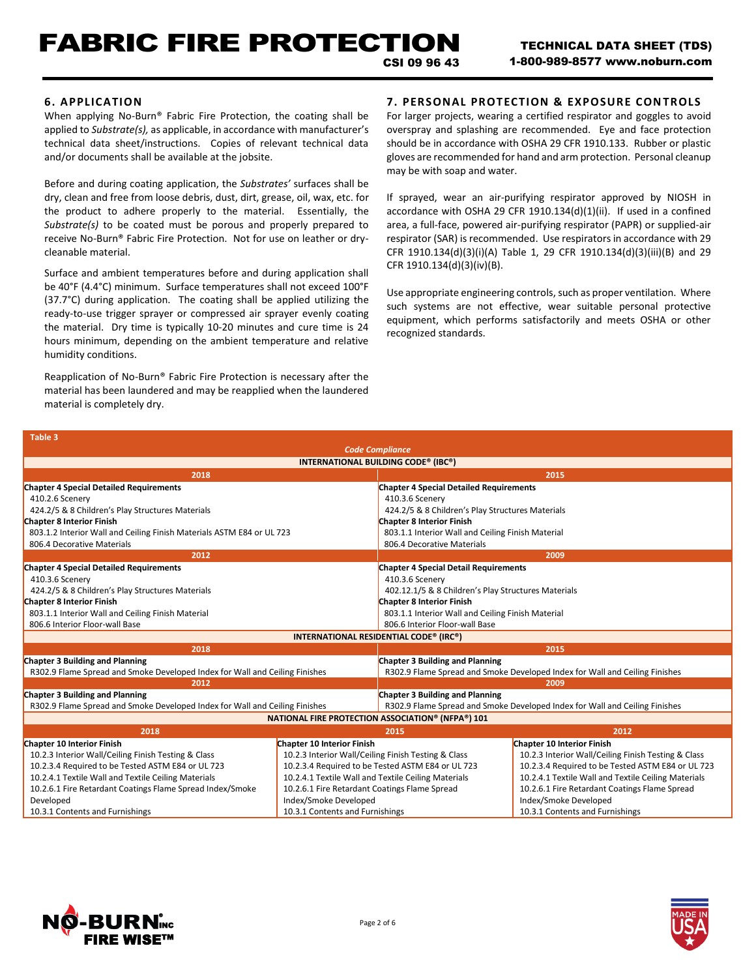# FABRIC FIRE PROTECTION CSI 09 96 43

# **6. APPLICATION**

When applying No-Burn® Fabric Fire Protection, the coating shall be applied to *Substrate(s),* as applicable, in accordance with manufacturer's technical data sheet/instructions. Copies of relevant technical data and/or documents shall be available at the jobsite.

Before and during coating application, the *Substrates'* surfaces shall be dry, clean and free from loose debris, dust, dirt, grease, oil, wax, etc. for the product to adhere properly to the material. Essentially, the *Substrate(s)* to be coated must be porous and properly prepared to receive No-Burn® Fabric Fire Protection. Not for use on leather or drycleanable material.

Surface and ambient temperatures before and during application shall be 40°F (4.4°C) minimum. Surface temperatures shall not exceed 100°F (37.7°C) during application. The coating shall be applied utilizing the ready-to-use trigger sprayer or compressed air sprayer evenly coating the material. Dry time is typically 10-20 minutes and cure time is 24 hours minimum, depending on the ambient temperature and relative humidity conditions.

Reapplication of No-Burn® Fabric Fire Protection is necessary after the material has been laundered and may be reapplied when the laundered material is completely dry.

# **7. PERSONAL PROTECTION & EXPOSURE CONTROLS**

For larger projects, wearing a certified respirator and goggles to avoid overspray and splashing are recommended. Eye and face protection should be in accordance with OSHA 29 CFR 1910.133. Rubber or plastic gloves are recommended for hand and arm protection. Personal cleanup may be with soap and water.

If sprayed, wear an air-purifying respirator approved by NIOSH in accordance with OSHA 29 CFR 1910.134(d)(1)(ii). If used in a confined area, a full-face, powered air-purifying respirator (PAPR) or supplied-air respirator (SAR) is recommended. Use respirators in accordance with 29 CFR 1910.134(d)(3)(i)(A) Table 1, 29 CFR 1910.134(d)(3)(iii)(B) and 29 CFR 1910.134(d)(3)(iv)(B).

Use appropriate engineering controls, such as proper ventilation. Where such systems are not effective, wear suitable personal protective equipment, which performs satisfactorily and meets OSHA or other recognized standards.

| Table 3                                                                     |                                                     |                                                     |                                                                             |
|-----------------------------------------------------------------------------|-----------------------------------------------------|-----------------------------------------------------|-----------------------------------------------------------------------------|
| <b>Code Compliance</b>                                                      |                                                     |                                                     |                                                                             |
|                                                                             |                                                     | INTERNATIONAL BUILDING CODE® (IBC®)                 |                                                                             |
| 2018                                                                        |                                                     |                                                     | 2015                                                                        |
| <b>Chapter 4 Special Detailed Requirements</b>                              |                                                     | <b>Chapter 4 Special Detailed Requirements</b>      |                                                                             |
| 410.2.6 Scenery                                                             |                                                     | 410.3.6 Scenery                                     |                                                                             |
| 424.2/5 & 8 Children's Play Structures Materials                            |                                                     | 424.2/5 & 8 Children's Play Structures Materials    |                                                                             |
| <b>Chapter 8 Interior Finish</b>                                            |                                                     | <b>Chapter 8 Interior Finish</b>                    |                                                                             |
| 803.1.2 Interior Wall and Ceiling Finish Materials ASTM E84 or UL 723       |                                                     | 803.1.1 Interior Wall and Ceiling Finish Material   |                                                                             |
| 806.4 Decorative Materials                                                  |                                                     | 806.4 Decorative Materials                          |                                                                             |
| 2012                                                                        |                                                     |                                                     | 2009                                                                        |
| <b>Chapter 4 Special Detailed Requirements</b>                              |                                                     | <b>Chapter 4 Special Detail Requirements</b>        |                                                                             |
| 410.3.6 Scenery                                                             |                                                     | 410.3.6 Scenery                                     |                                                                             |
| 424.2/5 & 8 Children's Play Structures Materials                            |                                                     | 402.12.1/5 & 8 Children's Play Structures Materials |                                                                             |
| <b>Chapter 8 Interior Finish</b>                                            |                                                     | <b>Chapter 8 Interior Finish</b>                    |                                                                             |
| 803.1.1 Interior Wall and Ceiling Finish Material                           |                                                     | 803.1.1 Interior Wall and Ceiling Finish Material   |                                                                             |
| 806.6 Interior Floor-wall Base                                              |                                                     | 806.6 Interior Floor-wall Base                      |                                                                             |
|                                                                             |                                                     | INTERNATIONAL RESIDENTIAL CODE® (IRC®)              |                                                                             |
| 2018                                                                        |                                                     |                                                     | 2015                                                                        |
| Chapter 3 Building and Planning                                             |                                                     | Chapter 3 Building and Planning                     |                                                                             |
| R302.9 Flame Spread and Smoke Developed Index for Wall and Ceiling Finishes |                                                     |                                                     | R302.9 Flame Spread and Smoke Developed Index for Wall and Ceiling Finishes |
| 2012                                                                        |                                                     |                                                     | 2009                                                                        |
| Chapter 3 Building and Planning                                             |                                                     | Chapter 3 Building and Planning                     |                                                                             |
| R302.9 Flame Spread and Smoke Developed Index for Wall and Ceiling Finishes |                                                     |                                                     | R302.9 Flame Spread and Smoke Developed Index for Wall and Ceiling Finishes |
| <b>NATIONAL FIRE PROTECTION ASSOCIATION® (NFPA®) 101</b>                    |                                                     |                                                     |                                                                             |
| 2018                                                                        |                                                     | 2015                                                | 2012                                                                        |
| <b>Chapter 10 Interior Finish</b>                                           | <b>Chapter 10 Interior Finish</b>                   |                                                     | <b>Chapter 10 Interior Finish</b>                                           |
| 10.2.3 Interior Wall/Ceiling Finish Testing & Class                         | 10.2.3 Interior Wall/Ceiling Finish Testing & Class |                                                     | 10.2.3 Interior Wall/Ceiling Finish Testing & Class                         |
| 10.2.3.4 Required to be Tested ASTM E84 or UL 723                           | 10.2.3.4 Required to be Tested ASTM E84 or UL 723   |                                                     | 10.2.3.4 Required to be Tested ASTM E84 or UL 723                           |
| 10.2.4.1 Textile Wall and Textile Ceiling Materials                         | 10.2.4.1 Textile Wall and Textile Ceiling Materials |                                                     | 10.2.4.1 Textile Wall and Textile Ceiling Materials                         |
| 10.2.6.1 Fire Retardant Coatings Flame Spread Index/Smoke                   | 10.2.6.1 Fire Retardant Coatings Flame Spread       |                                                     | 10.2.6.1 Fire Retardant Coatings Flame Spread                               |
| Developed                                                                   | Index/Smoke Developed<br>Index/Smoke Developed      |                                                     |                                                                             |
| 10.3.1 Contents and Furnishings                                             | 10.3.1 Contents and Furnishings                     |                                                     | 10.3.1 Contents and Furnishings                                             |



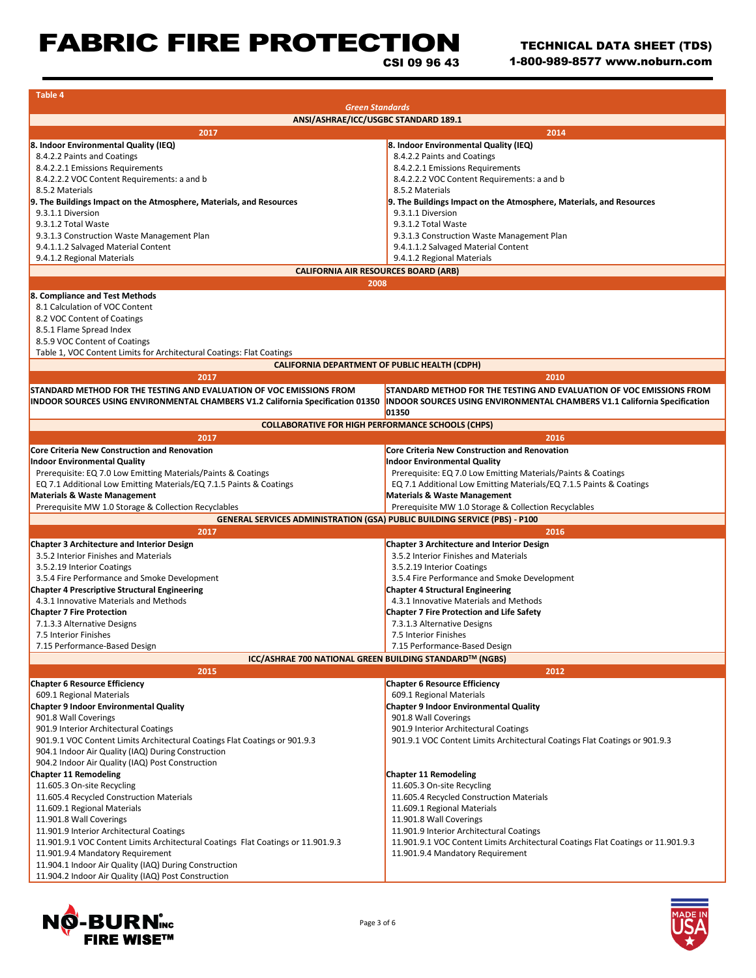# FABRIC FIRE PROTECTION

**Table 4**

CSI 09 96 43

| ANSI/ASHRAE/ICC/USGBC STANDARD 189.1<br>2017<br>2014<br>8. Indoor Environmental Quality (IEQ)<br>8. Indoor Environmental Quality (IEQ)<br>8.4.2.2 Paints and Coatings<br>8.4.2.2 Paints and Coatings<br>8.4.2.2.1 Emissions Requirements<br>8.4.2.2.1 Emissions Requirements<br>8.4.2.2.2 VOC Content Requirements: a and b<br>8.4.2.2.2 VOC Content Requirements: a and b<br>8.5.2 Materials<br>8.5.2 Materials<br>9. The Buildings Impact on the Atmosphere, Materials, and Resources<br>9.3.1.1 Diversion<br>9.3.1.1 Diversion<br>9.3.1.2 Total Waste<br>9.3.1.2 Total Waste<br>9.3.1.3 Construction Waste Management Plan<br>9.3.1.3 Construction Waste Management Plan<br>9.4.1.1.2 Salvaged Material Content<br>9.4.1.1.2 Salvaged Material Content<br>9.4.1.2 Regional Materials<br>9.4.1.2 Regional Materials<br><b>CALIFORNIA AIR RESOURCES BOARD (ARB)</b><br>2008<br>8.1 Calculation of VOC Content<br>8.2 VOC Content of Coatings<br>8.5.1 Flame Spread Index<br>8.5.9 VOC Content of Coatings<br>Table 1, VOC Content Limits for Architectural Coatings: Flat Coatings<br><b>CALIFORNIA DEPARTMENT OF PUBLIC HEALTH (CDPH)</b><br>2017<br>2010<br>STANDARD METHOD FOR THE TESTING AND EVALUATION OF VOC EMISSIONS FROM<br>STANDARD METHOD FOR THE TESTING AND EVALUATION OF VOC EMISSIONS FROM<br>INDOOR SOURCES USING ENVIRONMENTAL CHAMBERS V1.2 California Specification 01350<br>INDOOR SOURCES USING ENVIRONMENTAL CHAMBERS V1.1 California Specification<br>01350<br><b>COLLABORATIVE FOR HIGH PERFORMANCE SCHOOLS (CHPS)</b><br>2017<br>2016<br><b>Core Criteria New Construction and Renovation</b><br>Core Criteria New Construction and Renovation<br><b>Indoor Environmental Quality</b><br>Prerequisite: EQ 7.0 Low Emitting Materials/Paints & Coatings<br>Prerequisite: EQ 7.0 Low Emitting Materials/Paints & Coatings<br>EQ 7.1 Additional Low Emitting Materials/EQ 7.1.5 Paints & Coatings<br>EQ 7.1 Additional Low Emitting Materials/EQ 7.1.5 Paints & Coatings<br><b>Materials &amp; Waste Management</b><br><b>Materials &amp; Waste Management</b><br>Prerequisite MW 1.0 Storage & Collection Recyclables<br>Prerequisite MW 1.0 Storage & Collection Recyclables<br><b>GENERAL SERVICES ADMINISTRATION (GSA) PUBLIC BUILDING SERVICE (PBS) - P100</b><br>2017<br>2016<br>Chapter 3 Architecture and Interior Design<br><b>Chapter 3 Architecture and Interior Design</b><br>3.5.2 Interior Finishes and Materials<br>3.5.2 Interior Finishes and Materials<br>3.5.2.19 Interior Coatings<br>3.5.2.19 Interior Coatings<br>3.5.4 Fire Performance and Smoke Development<br>3.5.4 Fire Performance and Smoke Development<br><b>Chapter 4 Prescriptive Structural Engineering</b><br><b>Chapter 4 Structural Engineering</b><br>4.3.1 Innovative Materials and Methods<br>4.3.1 Innovative Materials and Methods<br><b>Chapter 7 Fire Protection</b><br><b>Chapter 7 Fire Protection and Life Safety</b><br>7.1.3.3 Alternative Designs<br>7.3.1.3 Alternative Designs<br>7.5 Interior Finishes<br>7.5 Interior Finishes<br>7.15 Performance-Based Design<br>7.15 Performance-Based Design<br>ICC/ASHRAE 700 NATIONAL GREEN BUILDING STANDARD™ (NGBS)<br>2015<br>2012<br><b>Chapter 6 Resource Efficiency</b><br><b>Chapter 6 Resource Efficiency</b><br>609.1 Regional Materials<br>609.1 Regional Materials<br><b>Chapter 9 Indoor Environmental Quality</b><br><b>Chapter 9 Indoor Environmental Quality</b><br>901.8 Wall Coverings<br>901.8 Wall Coverings<br>901.9 Interior Architectural Coatings<br>901.9 Interior Architectural Coatings<br>901.9.1 VOC Content Limits Architectural Coatings Flat Coatings or 901.9.3<br>901.9.1 VOC Content Limits Architectural Coatings Flat Coatings or 901.9.3<br>904.1 Indoor Air Quality (IAQ) During Construction<br>904.2 Indoor Air Quality (IAQ) Post Construction<br><b>Chapter 11 Remodeling</b><br>11.605.3 On-site Recycling<br>11.605.3 On-site Recycling<br>11.605.4 Recycled Construction Materials<br>11.605.4 Recycled Construction Materials<br>11.609.1 Regional Materials<br>11.609.1 Regional Materials | <b>Green Standards</b>                                              |                         |  |  |
|--------------------------------------------------------------------------------------------------------------------------------------------------------------------------------------------------------------------------------------------------------------------------------------------------------------------------------------------------------------------------------------------------------------------------------------------------------------------------------------------------------------------------------------------------------------------------------------------------------------------------------------------------------------------------------------------------------------------------------------------------------------------------------------------------------------------------------------------------------------------------------------------------------------------------------------------------------------------------------------------------------------------------------------------------------------------------------------------------------------------------------------------------------------------------------------------------------------------------------------------------------------------------------------------------------------------------------------------------------------------------------------------------------------------------------------------------------------------------------------------------------------------------------------------------------------------------------------------------------------------------------------------------------------------------------------------------------------------------------------------------------------------------------------------------------------------------------------------------------------------------------------------------------------------------------------------------------------------------------------------------------------------------------------------------------------------------------------------------------------------------------------------------------------------------------------------------------------------------------------------------------------------------------------------------------------------------------------------------------------------------------------------------------------------------------------------------------------------------------------------------------------------------------------------------------------------------------------------------------------------------------------------------------------------------------------------------------------------------------------------------------------------------------------------------------------------------------------------------------------------------------------------------------------------------------------------------------------------------------------------------------------------------------------------------------------------------------------------------------------------------------------------------------------------------------------------------------------------------------------------------------------------------------------------------------------------------------------------------------------------------------------------------------------------------------------------------------------------------------------------------------------------------------------------------------------------------------------------------------------------------------------------------------------------------------------------------------------------------------------------------------------------------------------------------------------------------------------------------------------------------------------------------------------------------------------------------------------------------------------------------------------------------------------------------------------------------------------------------------------|---------------------------------------------------------------------|-------------------------|--|--|
|                                                                                                                                                                                                                                                                                                                                                                                                                                                                                                                                                                                                                                                                                                                                                                                                                                                                                                                                                                                                                                                                                                                                                                                                                                                                                                                                                                                                                                                                                                                                                                                                                                                                                                                                                                                                                                                                                                                                                                                                                                                                                                                                                                                                                                                                                                                                                                                                                                                                                                                                                                                                                                                                                                                                                                                                                                                                                                                                                                                                                                                                                                                                                                                                                                                                                                                                                                                                                                                                                                                                                                                                                                                                                                                                                                                                                                                                                                                                                                                                                                                                                                              |                                                                     |                         |  |  |
|                                                                                                                                                                                                                                                                                                                                                                                                                                                                                                                                                                                                                                                                                                                                                                                                                                                                                                                                                                                                                                                                                                                                                                                                                                                                                                                                                                                                                                                                                                                                                                                                                                                                                                                                                                                                                                                                                                                                                                                                                                                                                                                                                                                                                                                                                                                                                                                                                                                                                                                                                                                                                                                                                                                                                                                                                                                                                                                                                                                                                                                                                                                                                                                                                                                                                                                                                                                                                                                                                                                                                                                                                                                                                                                                                                                                                                                                                                                                                                                                                                                                                                              |                                                                     |                         |  |  |
|                                                                                                                                                                                                                                                                                                                                                                                                                                                                                                                                                                                                                                                                                                                                                                                                                                                                                                                                                                                                                                                                                                                                                                                                                                                                                                                                                                                                                                                                                                                                                                                                                                                                                                                                                                                                                                                                                                                                                                                                                                                                                                                                                                                                                                                                                                                                                                                                                                                                                                                                                                                                                                                                                                                                                                                                                                                                                                                                                                                                                                                                                                                                                                                                                                                                                                                                                                                                                                                                                                                                                                                                                                                                                                                                                                                                                                                                                                                                                                                                                                                                                                              |                                                                     |                         |  |  |
|                                                                                                                                                                                                                                                                                                                                                                                                                                                                                                                                                                                                                                                                                                                                                                                                                                                                                                                                                                                                                                                                                                                                                                                                                                                                                                                                                                                                                                                                                                                                                                                                                                                                                                                                                                                                                                                                                                                                                                                                                                                                                                                                                                                                                                                                                                                                                                                                                                                                                                                                                                                                                                                                                                                                                                                                                                                                                                                                                                                                                                                                                                                                                                                                                                                                                                                                                                                                                                                                                                                                                                                                                                                                                                                                                                                                                                                                                                                                                                                                                                                                                                              |                                                                     |                         |  |  |
|                                                                                                                                                                                                                                                                                                                                                                                                                                                                                                                                                                                                                                                                                                                                                                                                                                                                                                                                                                                                                                                                                                                                                                                                                                                                                                                                                                                                                                                                                                                                                                                                                                                                                                                                                                                                                                                                                                                                                                                                                                                                                                                                                                                                                                                                                                                                                                                                                                                                                                                                                                                                                                                                                                                                                                                                                                                                                                                                                                                                                                                                                                                                                                                                                                                                                                                                                                                                                                                                                                                                                                                                                                                                                                                                                                                                                                                                                                                                                                                                                                                                                                              |                                                                     |                         |  |  |
|                                                                                                                                                                                                                                                                                                                                                                                                                                                                                                                                                                                                                                                                                                                                                                                                                                                                                                                                                                                                                                                                                                                                                                                                                                                                                                                                                                                                                                                                                                                                                                                                                                                                                                                                                                                                                                                                                                                                                                                                                                                                                                                                                                                                                                                                                                                                                                                                                                                                                                                                                                                                                                                                                                                                                                                                                                                                                                                                                                                                                                                                                                                                                                                                                                                                                                                                                                                                                                                                                                                                                                                                                                                                                                                                                                                                                                                                                                                                                                                                                                                                                                              |                                                                     |                         |  |  |
|                                                                                                                                                                                                                                                                                                                                                                                                                                                                                                                                                                                                                                                                                                                                                                                                                                                                                                                                                                                                                                                                                                                                                                                                                                                                                                                                                                                                                                                                                                                                                                                                                                                                                                                                                                                                                                                                                                                                                                                                                                                                                                                                                                                                                                                                                                                                                                                                                                                                                                                                                                                                                                                                                                                                                                                                                                                                                                                                                                                                                                                                                                                                                                                                                                                                                                                                                                                                                                                                                                                                                                                                                                                                                                                                                                                                                                                                                                                                                                                                                                                                                                              |                                                                     |                         |  |  |
|                                                                                                                                                                                                                                                                                                                                                                                                                                                                                                                                                                                                                                                                                                                                                                                                                                                                                                                                                                                                                                                                                                                                                                                                                                                                                                                                                                                                                                                                                                                                                                                                                                                                                                                                                                                                                                                                                                                                                                                                                                                                                                                                                                                                                                                                                                                                                                                                                                                                                                                                                                                                                                                                                                                                                                                                                                                                                                                                                                                                                                                                                                                                                                                                                                                                                                                                                                                                                                                                                                                                                                                                                                                                                                                                                                                                                                                                                                                                                                                                                                                                                                              | 9. The Buildings Impact on the Atmosphere, Materials, and Resources |                         |  |  |
|                                                                                                                                                                                                                                                                                                                                                                                                                                                                                                                                                                                                                                                                                                                                                                                                                                                                                                                                                                                                                                                                                                                                                                                                                                                                                                                                                                                                                                                                                                                                                                                                                                                                                                                                                                                                                                                                                                                                                                                                                                                                                                                                                                                                                                                                                                                                                                                                                                                                                                                                                                                                                                                                                                                                                                                                                                                                                                                                                                                                                                                                                                                                                                                                                                                                                                                                                                                                                                                                                                                                                                                                                                                                                                                                                                                                                                                                                                                                                                                                                                                                                                              |                                                                     |                         |  |  |
|                                                                                                                                                                                                                                                                                                                                                                                                                                                                                                                                                                                                                                                                                                                                                                                                                                                                                                                                                                                                                                                                                                                                                                                                                                                                                                                                                                                                                                                                                                                                                                                                                                                                                                                                                                                                                                                                                                                                                                                                                                                                                                                                                                                                                                                                                                                                                                                                                                                                                                                                                                                                                                                                                                                                                                                                                                                                                                                                                                                                                                                                                                                                                                                                                                                                                                                                                                                                                                                                                                                                                                                                                                                                                                                                                                                                                                                                                                                                                                                                                                                                                                              |                                                                     |                         |  |  |
|                                                                                                                                                                                                                                                                                                                                                                                                                                                                                                                                                                                                                                                                                                                                                                                                                                                                                                                                                                                                                                                                                                                                                                                                                                                                                                                                                                                                                                                                                                                                                                                                                                                                                                                                                                                                                                                                                                                                                                                                                                                                                                                                                                                                                                                                                                                                                                                                                                                                                                                                                                                                                                                                                                                                                                                                                                                                                                                                                                                                                                                                                                                                                                                                                                                                                                                                                                                                                                                                                                                                                                                                                                                                                                                                                                                                                                                                                                                                                                                                                                                                                                              |                                                                     |                         |  |  |
|                                                                                                                                                                                                                                                                                                                                                                                                                                                                                                                                                                                                                                                                                                                                                                                                                                                                                                                                                                                                                                                                                                                                                                                                                                                                                                                                                                                                                                                                                                                                                                                                                                                                                                                                                                                                                                                                                                                                                                                                                                                                                                                                                                                                                                                                                                                                                                                                                                                                                                                                                                                                                                                                                                                                                                                                                                                                                                                                                                                                                                                                                                                                                                                                                                                                                                                                                                                                                                                                                                                                                                                                                                                                                                                                                                                                                                                                                                                                                                                                                                                                                                              |                                                                     |                         |  |  |
|                                                                                                                                                                                                                                                                                                                                                                                                                                                                                                                                                                                                                                                                                                                                                                                                                                                                                                                                                                                                                                                                                                                                                                                                                                                                                                                                                                                                                                                                                                                                                                                                                                                                                                                                                                                                                                                                                                                                                                                                                                                                                                                                                                                                                                                                                                                                                                                                                                                                                                                                                                                                                                                                                                                                                                                                                                                                                                                                                                                                                                                                                                                                                                                                                                                                                                                                                                                                                                                                                                                                                                                                                                                                                                                                                                                                                                                                                                                                                                                                                                                                                                              |                                                                     |                         |  |  |
|                                                                                                                                                                                                                                                                                                                                                                                                                                                                                                                                                                                                                                                                                                                                                                                                                                                                                                                                                                                                                                                                                                                                                                                                                                                                                                                                                                                                                                                                                                                                                                                                                                                                                                                                                                                                                                                                                                                                                                                                                                                                                                                                                                                                                                                                                                                                                                                                                                                                                                                                                                                                                                                                                                                                                                                                                                                                                                                                                                                                                                                                                                                                                                                                                                                                                                                                                                                                                                                                                                                                                                                                                                                                                                                                                                                                                                                                                                                                                                                                                                                                                                              |                                                                     |                         |  |  |
|                                                                                                                                                                                                                                                                                                                                                                                                                                                                                                                                                                                                                                                                                                                                                                                                                                                                                                                                                                                                                                                                                                                                                                                                                                                                                                                                                                                                                                                                                                                                                                                                                                                                                                                                                                                                                                                                                                                                                                                                                                                                                                                                                                                                                                                                                                                                                                                                                                                                                                                                                                                                                                                                                                                                                                                                                                                                                                                                                                                                                                                                                                                                                                                                                                                                                                                                                                                                                                                                                                                                                                                                                                                                                                                                                                                                                                                                                                                                                                                                                                                                                                              |                                                                     |                         |  |  |
|                                                                                                                                                                                                                                                                                                                                                                                                                                                                                                                                                                                                                                                                                                                                                                                                                                                                                                                                                                                                                                                                                                                                                                                                                                                                                                                                                                                                                                                                                                                                                                                                                                                                                                                                                                                                                                                                                                                                                                                                                                                                                                                                                                                                                                                                                                                                                                                                                                                                                                                                                                                                                                                                                                                                                                                                                                                                                                                                                                                                                                                                                                                                                                                                                                                                                                                                                                                                                                                                                                                                                                                                                                                                                                                                                                                                                                                                                                                                                                                                                                                                                                              | 8. Compliance and Test Methods                                      |                         |  |  |
|                                                                                                                                                                                                                                                                                                                                                                                                                                                                                                                                                                                                                                                                                                                                                                                                                                                                                                                                                                                                                                                                                                                                                                                                                                                                                                                                                                                                                                                                                                                                                                                                                                                                                                                                                                                                                                                                                                                                                                                                                                                                                                                                                                                                                                                                                                                                                                                                                                                                                                                                                                                                                                                                                                                                                                                                                                                                                                                                                                                                                                                                                                                                                                                                                                                                                                                                                                                                                                                                                                                                                                                                                                                                                                                                                                                                                                                                                                                                                                                                                                                                                                              |                                                                     |                         |  |  |
|                                                                                                                                                                                                                                                                                                                                                                                                                                                                                                                                                                                                                                                                                                                                                                                                                                                                                                                                                                                                                                                                                                                                                                                                                                                                                                                                                                                                                                                                                                                                                                                                                                                                                                                                                                                                                                                                                                                                                                                                                                                                                                                                                                                                                                                                                                                                                                                                                                                                                                                                                                                                                                                                                                                                                                                                                                                                                                                                                                                                                                                                                                                                                                                                                                                                                                                                                                                                                                                                                                                                                                                                                                                                                                                                                                                                                                                                                                                                                                                                                                                                                                              |                                                                     |                         |  |  |
|                                                                                                                                                                                                                                                                                                                                                                                                                                                                                                                                                                                                                                                                                                                                                                                                                                                                                                                                                                                                                                                                                                                                                                                                                                                                                                                                                                                                                                                                                                                                                                                                                                                                                                                                                                                                                                                                                                                                                                                                                                                                                                                                                                                                                                                                                                                                                                                                                                                                                                                                                                                                                                                                                                                                                                                                                                                                                                                                                                                                                                                                                                                                                                                                                                                                                                                                                                                                                                                                                                                                                                                                                                                                                                                                                                                                                                                                                                                                                                                                                                                                                                              |                                                                     |                         |  |  |
|                                                                                                                                                                                                                                                                                                                                                                                                                                                                                                                                                                                                                                                                                                                                                                                                                                                                                                                                                                                                                                                                                                                                                                                                                                                                                                                                                                                                                                                                                                                                                                                                                                                                                                                                                                                                                                                                                                                                                                                                                                                                                                                                                                                                                                                                                                                                                                                                                                                                                                                                                                                                                                                                                                                                                                                                                                                                                                                                                                                                                                                                                                                                                                                                                                                                                                                                                                                                                                                                                                                                                                                                                                                                                                                                                                                                                                                                                                                                                                                                                                                                                                              |                                                                     |                         |  |  |
|                                                                                                                                                                                                                                                                                                                                                                                                                                                                                                                                                                                                                                                                                                                                                                                                                                                                                                                                                                                                                                                                                                                                                                                                                                                                                                                                                                                                                                                                                                                                                                                                                                                                                                                                                                                                                                                                                                                                                                                                                                                                                                                                                                                                                                                                                                                                                                                                                                                                                                                                                                                                                                                                                                                                                                                                                                                                                                                                                                                                                                                                                                                                                                                                                                                                                                                                                                                                                                                                                                                                                                                                                                                                                                                                                                                                                                                                                                                                                                                                                                                                                                              |                                                                     |                         |  |  |
|                                                                                                                                                                                                                                                                                                                                                                                                                                                                                                                                                                                                                                                                                                                                                                                                                                                                                                                                                                                                                                                                                                                                                                                                                                                                                                                                                                                                                                                                                                                                                                                                                                                                                                                                                                                                                                                                                                                                                                                                                                                                                                                                                                                                                                                                                                                                                                                                                                                                                                                                                                                                                                                                                                                                                                                                                                                                                                                                                                                                                                                                                                                                                                                                                                                                                                                                                                                                                                                                                                                                                                                                                                                                                                                                                                                                                                                                                                                                                                                                                                                                                                              |                                                                     |                         |  |  |
|                                                                                                                                                                                                                                                                                                                                                                                                                                                                                                                                                                                                                                                                                                                                                                                                                                                                                                                                                                                                                                                                                                                                                                                                                                                                                                                                                                                                                                                                                                                                                                                                                                                                                                                                                                                                                                                                                                                                                                                                                                                                                                                                                                                                                                                                                                                                                                                                                                                                                                                                                                                                                                                                                                                                                                                                                                                                                                                                                                                                                                                                                                                                                                                                                                                                                                                                                                                                                                                                                                                                                                                                                                                                                                                                                                                                                                                                                                                                                                                                                                                                                                              |                                                                     |                         |  |  |
|                                                                                                                                                                                                                                                                                                                                                                                                                                                                                                                                                                                                                                                                                                                                                                                                                                                                                                                                                                                                                                                                                                                                                                                                                                                                                                                                                                                                                                                                                                                                                                                                                                                                                                                                                                                                                                                                                                                                                                                                                                                                                                                                                                                                                                                                                                                                                                                                                                                                                                                                                                                                                                                                                                                                                                                                                                                                                                                                                                                                                                                                                                                                                                                                                                                                                                                                                                                                                                                                                                                                                                                                                                                                                                                                                                                                                                                                                                                                                                                                                                                                                                              |                                                                     |                         |  |  |
|                                                                                                                                                                                                                                                                                                                                                                                                                                                                                                                                                                                                                                                                                                                                                                                                                                                                                                                                                                                                                                                                                                                                                                                                                                                                                                                                                                                                                                                                                                                                                                                                                                                                                                                                                                                                                                                                                                                                                                                                                                                                                                                                                                                                                                                                                                                                                                                                                                                                                                                                                                                                                                                                                                                                                                                                                                                                                                                                                                                                                                                                                                                                                                                                                                                                                                                                                                                                                                                                                                                                                                                                                                                                                                                                                                                                                                                                                                                                                                                                                                                                                                              |                                                                     |                         |  |  |
|                                                                                                                                                                                                                                                                                                                                                                                                                                                                                                                                                                                                                                                                                                                                                                                                                                                                                                                                                                                                                                                                                                                                                                                                                                                                                                                                                                                                                                                                                                                                                                                                                                                                                                                                                                                                                                                                                                                                                                                                                                                                                                                                                                                                                                                                                                                                                                                                                                                                                                                                                                                                                                                                                                                                                                                                                                                                                                                                                                                                                                                                                                                                                                                                                                                                                                                                                                                                                                                                                                                                                                                                                                                                                                                                                                                                                                                                                                                                                                                                                                                                                                              |                                                                     |                         |  |  |
|                                                                                                                                                                                                                                                                                                                                                                                                                                                                                                                                                                                                                                                                                                                                                                                                                                                                                                                                                                                                                                                                                                                                                                                                                                                                                                                                                                                                                                                                                                                                                                                                                                                                                                                                                                                                                                                                                                                                                                                                                                                                                                                                                                                                                                                                                                                                                                                                                                                                                                                                                                                                                                                                                                                                                                                                                                                                                                                                                                                                                                                                                                                                                                                                                                                                                                                                                                                                                                                                                                                                                                                                                                                                                                                                                                                                                                                                                                                                                                                                                                                                                                              |                                                                     |                         |  |  |
|                                                                                                                                                                                                                                                                                                                                                                                                                                                                                                                                                                                                                                                                                                                                                                                                                                                                                                                                                                                                                                                                                                                                                                                                                                                                                                                                                                                                                                                                                                                                                                                                                                                                                                                                                                                                                                                                                                                                                                                                                                                                                                                                                                                                                                                                                                                                                                                                                                                                                                                                                                                                                                                                                                                                                                                                                                                                                                                                                                                                                                                                                                                                                                                                                                                                                                                                                                                                                                                                                                                                                                                                                                                                                                                                                                                                                                                                                                                                                                                                                                                                                                              |                                                                     |                         |  |  |
|                                                                                                                                                                                                                                                                                                                                                                                                                                                                                                                                                                                                                                                                                                                                                                                                                                                                                                                                                                                                                                                                                                                                                                                                                                                                                                                                                                                                                                                                                                                                                                                                                                                                                                                                                                                                                                                                                                                                                                                                                                                                                                                                                                                                                                                                                                                                                                                                                                                                                                                                                                                                                                                                                                                                                                                                                                                                                                                                                                                                                                                                                                                                                                                                                                                                                                                                                                                                                                                                                                                                                                                                                                                                                                                                                                                                                                                                                                                                                                                                                                                                                                              |                                                                     |                         |  |  |
|                                                                                                                                                                                                                                                                                                                                                                                                                                                                                                                                                                                                                                                                                                                                                                                                                                                                                                                                                                                                                                                                                                                                                                                                                                                                                                                                                                                                                                                                                                                                                                                                                                                                                                                                                                                                                                                                                                                                                                                                                                                                                                                                                                                                                                                                                                                                                                                                                                                                                                                                                                                                                                                                                                                                                                                                                                                                                                                                                                                                                                                                                                                                                                                                                                                                                                                                                                                                                                                                                                                                                                                                                                                                                                                                                                                                                                                                                                                                                                                                                                                                                                              | <b>Indoor Environmental Quality</b>                                 |                         |  |  |
|                                                                                                                                                                                                                                                                                                                                                                                                                                                                                                                                                                                                                                                                                                                                                                                                                                                                                                                                                                                                                                                                                                                                                                                                                                                                                                                                                                                                                                                                                                                                                                                                                                                                                                                                                                                                                                                                                                                                                                                                                                                                                                                                                                                                                                                                                                                                                                                                                                                                                                                                                                                                                                                                                                                                                                                                                                                                                                                                                                                                                                                                                                                                                                                                                                                                                                                                                                                                                                                                                                                                                                                                                                                                                                                                                                                                                                                                                                                                                                                                                                                                                                              |                                                                     |                         |  |  |
|                                                                                                                                                                                                                                                                                                                                                                                                                                                                                                                                                                                                                                                                                                                                                                                                                                                                                                                                                                                                                                                                                                                                                                                                                                                                                                                                                                                                                                                                                                                                                                                                                                                                                                                                                                                                                                                                                                                                                                                                                                                                                                                                                                                                                                                                                                                                                                                                                                                                                                                                                                                                                                                                                                                                                                                                                                                                                                                                                                                                                                                                                                                                                                                                                                                                                                                                                                                                                                                                                                                                                                                                                                                                                                                                                                                                                                                                                                                                                                                                                                                                                                              |                                                                     |                         |  |  |
|                                                                                                                                                                                                                                                                                                                                                                                                                                                                                                                                                                                                                                                                                                                                                                                                                                                                                                                                                                                                                                                                                                                                                                                                                                                                                                                                                                                                                                                                                                                                                                                                                                                                                                                                                                                                                                                                                                                                                                                                                                                                                                                                                                                                                                                                                                                                                                                                                                                                                                                                                                                                                                                                                                                                                                                                                                                                                                                                                                                                                                                                                                                                                                                                                                                                                                                                                                                                                                                                                                                                                                                                                                                                                                                                                                                                                                                                                                                                                                                                                                                                                                              |                                                                     |                         |  |  |
|                                                                                                                                                                                                                                                                                                                                                                                                                                                                                                                                                                                                                                                                                                                                                                                                                                                                                                                                                                                                                                                                                                                                                                                                                                                                                                                                                                                                                                                                                                                                                                                                                                                                                                                                                                                                                                                                                                                                                                                                                                                                                                                                                                                                                                                                                                                                                                                                                                                                                                                                                                                                                                                                                                                                                                                                                                                                                                                                                                                                                                                                                                                                                                                                                                                                                                                                                                                                                                                                                                                                                                                                                                                                                                                                                                                                                                                                                                                                                                                                                                                                                                              |                                                                     |                         |  |  |
|                                                                                                                                                                                                                                                                                                                                                                                                                                                                                                                                                                                                                                                                                                                                                                                                                                                                                                                                                                                                                                                                                                                                                                                                                                                                                                                                                                                                                                                                                                                                                                                                                                                                                                                                                                                                                                                                                                                                                                                                                                                                                                                                                                                                                                                                                                                                                                                                                                                                                                                                                                                                                                                                                                                                                                                                                                                                                                                                                                                                                                                                                                                                                                                                                                                                                                                                                                                                                                                                                                                                                                                                                                                                                                                                                                                                                                                                                                                                                                                                                                                                                                              |                                                                     |                         |  |  |
|                                                                                                                                                                                                                                                                                                                                                                                                                                                                                                                                                                                                                                                                                                                                                                                                                                                                                                                                                                                                                                                                                                                                                                                                                                                                                                                                                                                                                                                                                                                                                                                                                                                                                                                                                                                                                                                                                                                                                                                                                                                                                                                                                                                                                                                                                                                                                                                                                                                                                                                                                                                                                                                                                                                                                                                                                                                                                                                                                                                                                                                                                                                                                                                                                                                                                                                                                                                                                                                                                                                                                                                                                                                                                                                                                                                                                                                                                                                                                                                                                                                                                                              |                                                                     |                         |  |  |
|                                                                                                                                                                                                                                                                                                                                                                                                                                                                                                                                                                                                                                                                                                                                                                                                                                                                                                                                                                                                                                                                                                                                                                                                                                                                                                                                                                                                                                                                                                                                                                                                                                                                                                                                                                                                                                                                                                                                                                                                                                                                                                                                                                                                                                                                                                                                                                                                                                                                                                                                                                                                                                                                                                                                                                                                                                                                                                                                                                                                                                                                                                                                                                                                                                                                                                                                                                                                                                                                                                                                                                                                                                                                                                                                                                                                                                                                                                                                                                                                                                                                                                              |                                                                     |                         |  |  |
|                                                                                                                                                                                                                                                                                                                                                                                                                                                                                                                                                                                                                                                                                                                                                                                                                                                                                                                                                                                                                                                                                                                                                                                                                                                                                                                                                                                                                                                                                                                                                                                                                                                                                                                                                                                                                                                                                                                                                                                                                                                                                                                                                                                                                                                                                                                                                                                                                                                                                                                                                                                                                                                                                                                                                                                                                                                                                                                                                                                                                                                                                                                                                                                                                                                                                                                                                                                                                                                                                                                                                                                                                                                                                                                                                                                                                                                                                                                                                                                                                                                                                                              |                                                                     |                         |  |  |
|                                                                                                                                                                                                                                                                                                                                                                                                                                                                                                                                                                                                                                                                                                                                                                                                                                                                                                                                                                                                                                                                                                                                                                                                                                                                                                                                                                                                                                                                                                                                                                                                                                                                                                                                                                                                                                                                                                                                                                                                                                                                                                                                                                                                                                                                                                                                                                                                                                                                                                                                                                                                                                                                                                                                                                                                                                                                                                                                                                                                                                                                                                                                                                                                                                                                                                                                                                                                                                                                                                                                                                                                                                                                                                                                                                                                                                                                                                                                                                                                                                                                                                              |                                                                     |                         |  |  |
|                                                                                                                                                                                                                                                                                                                                                                                                                                                                                                                                                                                                                                                                                                                                                                                                                                                                                                                                                                                                                                                                                                                                                                                                                                                                                                                                                                                                                                                                                                                                                                                                                                                                                                                                                                                                                                                                                                                                                                                                                                                                                                                                                                                                                                                                                                                                                                                                                                                                                                                                                                                                                                                                                                                                                                                                                                                                                                                                                                                                                                                                                                                                                                                                                                                                                                                                                                                                                                                                                                                                                                                                                                                                                                                                                                                                                                                                                                                                                                                                                                                                                                              |                                                                     |                         |  |  |
|                                                                                                                                                                                                                                                                                                                                                                                                                                                                                                                                                                                                                                                                                                                                                                                                                                                                                                                                                                                                                                                                                                                                                                                                                                                                                                                                                                                                                                                                                                                                                                                                                                                                                                                                                                                                                                                                                                                                                                                                                                                                                                                                                                                                                                                                                                                                                                                                                                                                                                                                                                                                                                                                                                                                                                                                                                                                                                                                                                                                                                                                                                                                                                                                                                                                                                                                                                                                                                                                                                                                                                                                                                                                                                                                                                                                                                                                                                                                                                                                                                                                                                              |                                                                     |                         |  |  |
|                                                                                                                                                                                                                                                                                                                                                                                                                                                                                                                                                                                                                                                                                                                                                                                                                                                                                                                                                                                                                                                                                                                                                                                                                                                                                                                                                                                                                                                                                                                                                                                                                                                                                                                                                                                                                                                                                                                                                                                                                                                                                                                                                                                                                                                                                                                                                                                                                                                                                                                                                                                                                                                                                                                                                                                                                                                                                                                                                                                                                                                                                                                                                                                                                                                                                                                                                                                                                                                                                                                                                                                                                                                                                                                                                                                                                                                                                                                                                                                                                                                                                                              |                                                                     |                         |  |  |
|                                                                                                                                                                                                                                                                                                                                                                                                                                                                                                                                                                                                                                                                                                                                                                                                                                                                                                                                                                                                                                                                                                                                                                                                                                                                                                                                                                                                                                                                                                                                                                                                                                                                                                                                                                                                                                                                                                                                                                                                                                                                                                                                                                                                                                                                                                                                                                                                                                                                                                                                                                                                                                                                                                                                                                                                                                                                                                                                                                                                                                                                                                                                                                                                                                                                                                                                                                                                                                                                                                                                                                                                                                                                                                                                                                                                                                                                                                                                                                                                                                                                                                              |                                                                     |                         |  |  |
|                                                                                                                                                                                                                                                                                                                                                                                                                                                                                                                                                                                                                                                                                                                                                                                                                                                                                                                                                                                                                                                                                                                                                                                                                                                                                                                                                                                                                                                                                                                                                                                                                                                                                                                                                                                                                                                                                                                                                                                                                                                                                                                                                                                                                                                                                                                                                                                                                                                                                                                                                                                                                                                                                                                                                                                                                                                                                                                                                                                                                                                                                                                                                                                                                                                                                                                                                                                                                                                                                                                                                                                                                                                                                                                                                                                                                                                                                                                                                                                                                                                                                                              |                                                                     |                         |  |  |
|                                                                                                                                                                                                                                                                                                                                                                                                                                                                                                                                                                                                                                                                                                                                                                                                                                                                                                                                                                                                                                                                                                                                                                                                                                                                                                                                                                                                                                                                                                                                                                                                                                                                                                                                                                                                                                                                                                                                                                                                                                                                                                                                                                                                                                                                                                                                                                                                                                                                                                                                                                                                                                                                                                                                                                                                                                                                                                                                                                                                                                                                                                                                                                                                                                                                                                                                                                                                                                                                                                                                                                                                                                                                                                                                                                                                                                                                                                                                                                                                                                                                                                              |                                                                     |                         |  |  |
|                                                                                                                                                                                                                                                                                                                                                                                                                                                                                                                                                                                                                                                                                                                                                                                                                                                                                                                                                                                                                                                                                                                                                                                                                                                                                                                                                                                                                                                                                                                                                                                                                                                                                                                                                                                                                                                                                                                                                                                                                                                                                                                                                                                                                                                                                                                                                                                                                                                                                                                                                                                                                                                                                                                                                                                                                                                                                                                                                                                                                                                                                                                                                                                                                                                                                                                                                                                                                                                                                                                                                                                                                                                                                                                                                                                                                                                                                                                                                                                                                                                                                                              |                                                                     |                         |  |  |
|                                                                                                                                                                                                                                                                                                                                                                                                                                                                                                                                                                                                                                                                                                                                                                                                                                                                                                                                                                                                                                                                                                                                                                                                                                                                                                                                                                                                                                                                                                                                                                                                                                                                                                                                                                                                                                                                                                                                                                                                                                                                                                                                                                                                                                                                                                                                                                                                                                                                                                                                                                                                                                                                                                                                                                                                                                                                                                                                                                                                                                                                                                                                                                                                                                                                                                                                                                                                                                                                                                                                                                                                                                                                                                                                                                                                                                                                                                                                                                                                                                                                                                              |                                                                     |                         |  |  |
|                                                                                                                                                                                                                                                                                                                                                                                                                                                                                                                                                                                                                                                                                                                                                                                                                                                                                                                                                                                                                                                                                                                                                                                                                                                                                                                                                                                                                                                                                                                                                                                                                                                                                                                                                                                                                                                                                                                                                                                                                                                                                                                                                                                                                                                                                                                                                                                                                                                                                                                                                                                                                                                                                                                                                                                                                                                                                                                                                                                                                                                                                                                                                                                                                                                                                                                                                                                                                                                                                                                                                                                                                                                                                                                                                                                                                                                                                                                                                                                                                                                                                                              |                                                                     |                         |  |  |
|                                                                                                                                                                                                                                                                                                                                                                                                                                                                                                                                                                                                                                                                                                                                                                                                                                                                                                                                                                                                                                                                                                                                                                                                                                                                                                                                                                                                                                                                                                                                                                                                                                                                                                                                                                                                                                                                                                                                                                                                                                                                                                                                                                                                                                                                                                                                                                                                                                                                                                                                                                                                                                                                                                                                                                                                                                                                                                                                                                                                                                                                                                                                                                                                                                                                                                                                                                                                                                                                                                                                                                                                                                                                                                                                                                                                                                                                                                                                                                                                                                                                                                              |                                                                     |                         |  |  |
|                                                                                                                                                                                                                                                                                                                                                                                                                                                                                                                                                                                                                                                                                                                                                                                                                                                                                                                                                                                                                                                                                                                                                                                                                                                                                                                                                                                                                                                                                                                                                                                                                                                                                                                                                                                                                                                                                                                                                                                                                                                                                                                                                                                                                                                                                                                                                                                                                                                                                                                                                                                                                                                                                                                                                                                                                                                                                                                                                                                                                                                                                                                                                                                                                                                                                                                                                                                                                                                                                                                                                                                                                                                                                                                                                                                                                                                                                                                                                                                                                                                                                                              |                                                                     |                         |  |  |
|                                                                                                                                                                                                                                                                                                                                                                                                                                                                                                                                                                                                                                                                                                                                                                                                                                                                                                                                                                                                                                                                                                                                                                                                                                                                                                                                                                                                                                                                                                                                                                                                                                                                                                                                                                                                                                                                                                                                                                                                                                                                                                                                                                                                                                                                                                                                                                                                                                                                                                                                                                                                                                                                                                                                                                                                                                                                                                                                                                                                                                                                                                                                                                                                                                                                                                                                                                                                                                                                                                                                                                                                                                                                                                                                                                                                                                                                                                                                                                                                                                                                                                              |                                                                     |                         |  |  |
|                                                                                                                                                                                                                                                                                                                                                                                                                                                                                                                                                                                                                                                                                                                                                                                                                                                                                                                                                                                                                                                                                                                                                                                                                                                                                                                                                                                                                                                                                                                                                                                                                                                                                                                                                                                                                                                                                                                                                                                                                                                                                                                                                                                                                                                                                                                                                                                                                                                                                                                                                                                                                                                                                                                                                                                                                                                                                                                                                                                                                                                                                                                                                                                                                                                                                                                                                                                                                                                                                                                                                                                                                                                                                                                                                                                                                                                                                                                                                                                                                                                                                                              |                                                                     |                         |  |  |
|                                                                                                                                                                                                                                                                                                                                                                                                                                                                                                                                                                                                                                                                                                                                                                                                                                                                                                                                                                                                                                                                                                                                                                                                                                                                                                                                                                                                                                                                                                                                                                                                                                                                                                                                                                                                                                                                                                                                                                                                                                                                                                                                                                                                                                                                                                                                                                                                                                                                                                                                                                                                                                                                                                                                                                                                                                                                                                                                                                                                                                                                                                                                                                                                                                                                                                                                                                                                                                                                                                                                                                                                                                                                                                                                                                                                                                                                                                                                                                                                                                                                                                              |                                                                     |                         |  |  |
|                                                                                                                                                                                                                                                                                                                                                                                                                                                                                                                                                                                                                                                                                                                                                                                                                                                                                                                                                                                                                                                                                                                                                                                                                                                                                                                                                                                                                                                                                                                                                                                                                                                                                                                                                                                                                                                                                                                                                                                                                                                                                                                                                                                                                                                                                                                                                                                                                                                                                                                                                                                                                                                                                                                                                                                                                                                                                                                                                                                                                                                                                                                                                                                                                                                                                                                                                                                                                                                                                                                                                                                                                                                                                                                                                                                                                                                                                                                                                                                                                                                                                                              |                                                                     |                         |  |  |
|                                                                                                                                                                                                                                                                                                                                                                                                                                                                                                                                                                                                                                                                                                                                                                                                                                                                                                                                                                                                                                                                                                                                                                                                                                                                                                                                                                                                                                                                                                                                                                                                                                                                                                                                                                                                                                                                                                                                                                                                                                                                                                                                                                                                                                                                                                                                                                                                                                                                                                                                                                                                                                                                                                                                                                                                                                                                                                                                                                                                                                                                                                                                                                                                                                                                                                                                                                                                                                                                                                                                                                                                                                                                                                                                                                                                                                                                                                                                                                                                                                                                                                              |                                                                     |                         |  |  |
|                                                                                                                                                                                                                                                                                                                                                                                                                                                                                                                                                                                                                                                                                                                                                                                                                                                                                                                                                                                                                                                                                                                                                                                                                                                                                                                                                                                                                                                                                                                                                                                                                                                                                                                                                                                                                                                                                                                                                                                                                                                                                                                                                                                                                                                                                                                                                                                                                                                                                                                                                                                                                                                                                                                                                                                                                                                                                                                                                                                                                                                                                                                                                                                                                                                                                                                                                                                                                                                                                                                                                                                                                                                                                                                                                                                                                                                                                                                                                                                                                                                                                                              | <b>Chapter 11 Remodeling</b>                                        |                         |  |  |
|                                                                                                                                                                                                                                                                                                                                                                                                                                                                                                                                                                                                                                                                                                                                                                                                                                                                                                                                                                                                                                                                                                                                                                                                                                                                                                                                                                                                                                                                                                                                                                                                                                                                                                                                                                                                                                                                                                                                                                                                                                                                                                                                                                                                                                                                                                                                                                                                                                                                                                                                                                                                                                                                                                                                                                                                                                                                                                                                                                                                                                                                                                                                                                                                                                                                                                                                                                                                                                                                                                                                                                                                                                                                                                                                                                                                                                                                                                                                                                                                                                                                                                              |                                                                     |                         |  |  |
|                                                                                                                                                                                                                                                                                                                                                                                                                                                                                                                                                                                                                                                                                                                                                                                                                                                                                                                                                                                                                                                                                                                                                                                                                                                                                                                                                                                                                                                                                                                                                                                                                                                                                                                                                                                                                                                                                                                                                                                                                                                                                                                                                                                                                                                                                                                                                                                                                                                                                                                                                                                                                                                                                                                                                                                                                                                                                                                                                                                                                                                                                                                                                                                                                                                                                                                                                                                                                                                                                                                                                                                                                                                                                                                                                                                                                                                                                                                                                                                                                                                                                                              |                                                                     |                         |  |  |
|                                                                                                                                                                                                                                                                                                                                                                                                                                                                                                                                                                                                                                                                                                                                                                                                                                                                                                                                                                                                                                                                                                                                                                                                                                                                                                                                                                                                                                                                                                                                                                                                                                                                                                                                                                                                                                                                                                                                                                                                                                                                                                                                                                                                                                                                                                                                                                                                                                                                                                                                                                                                                                                                                                                                                                                                                                                                                                                                                                                                                                                                                                                                                                                                                                                                                                                                                                                                                                                                                                                                                                                                                                                                                                                                                                                                                                                                                                                                                                                                                                                                                                              |                                                                     |                         |  |  |
|                                                                                                                                                                                                                                                                                                                                                                                                                                                                                                                                                                                                                                                                                                                                                                                                                                                                                                                                                                                                                                                                                                                                                                                                                                                                                                                                                                                                                                                                                                                                                                                                                                                                                                                                                                                                                                                                                                                                                                                                                                                                                                                                                                                                                                                                                                                                                                                                                                                                                                                                                                                                                                                                                                                                                                                                                                                                                                                                                                                                                                                                                                                                                                                                                                                                                                                                                                                                                                                                                                                                                                                                                                                                                                                                                                                                                                                                                                                                                                                                                                                                                                              | 11.901.8 Wall Coverings                                             | 11.901.8 Wall Coverings |  |  |
| 11.901.9 Interior Architectural Coatings<br>11.901.9 Interior Architectural Coatings                                                                                                                                                                                                                                                                                                                                                                                                                                                                                                                                                                                                                                                                                                                                                                                                                                                                                                                                                                                                                                                                                                                                                                                                                                                                                                                                                                                                                                                                                                                                                                                                                                                                                                                                                                                                                                                                                                                                                                                                                                                                                                                                                                                                                                                                                                                                                                                                                                                                                                                                                                                                                                                                                                                                                                                                                                                                                                                                                                                                                                                                                                                                                                                                                                                                                                                                                                                                                                                                                                                                                                                                                                                                                                                                                                                                                                                                                                                                                                                                                         |                                                                     |                         |  |  |
| 11.901.9.1 VOC Content Limits Architectural Coatings Flat Coatings or 11.901.9.3<br>11.901.9.1 VOC Content Limits Architectural Coatings Flat Coatings or 11.901.9.3                                                                                                                                                                                                                                                                                                                                                                                                                                                                                                                                                                                                                                                                                                                                                                                                                                                                                                                                                                                                                                                                                                                                                                                                                                                                                                                                                                                                                                                                                                                                                                                                                                                                                                                                                                                                                                                                                                                                                                                                                                                                                                                                                                                                                                                                                                                                                                                                                                                                                                                                                                                                                                                                                                                                                                                                                                                                                                                                                                                                                                                                                                                                                                                                                                                                                                                                                                                                                                                                                                                                                                                                                                                                                                                                                                                                                                                                                                                                         |                                                                     |                         |  |  |
| 11.901.9.4 Mandatory Requirement<br>11.901.9.4 Mandatory Requirement                                                                                                                                                                                                                                                                                                                                                                                                                                                                                                                                                                                                                                                                                                                                                                                                                                                                                                                                                                                                                                                                                                                                                                                                                                                                                                                                                                                                                                                                                                                                                                                                                                                                                                                                                                                                                                                                                                                                                                                                                                                                                                                                                                                                                                                                                                                                                                                                                                                                                                                                                                                                                                                                                                                                                                                                                                                                                                                                                                                                                                                                                                                                                                                                                                                                                                                                                                                                                                                                                                                                                                                                                                                                                                                                                                                                                                                                                                                                                                                                                                         |                                                                     |                         |  |  |
| 11.904.1 Indoor Air Quality (IAQ) During Construction                                                                                                                                                                                                                                                                                                                                                                                                                                                                                                                                                                                                                                                                                                                                                                                                                                                                                                                                                                                                                                                                                                                                                                                                                                                                                                                                                                                                                                                                                                                                                                                                                                                                                                                                                                                                                                                                                                                                                                                                                                                                                                                                                                                                                                                                                                                                                                                                                                                                                                                                                                                                                                                                                                                                                                                                                                                                                                                                                                                                                                                                                                                                                                                                                                                                                                                                                                                                                                                                                                                                                                                                                                                                                                                                                                                                                                                                                                                                                                                                                                                        |                                                                     |                         |  |  |
| 11.904.2 Indoor Air Quality (IAQ) Post Construction                                                                                                                                                                                                                                                                                                                                                                                                                                                                                                                                                                                                                                                                                                                                                                                                                                                                                                                                                                                                                                                                                                                                                                                                                                                                                                                                                                                                                                                                                                                                                                                                                                                                                                                                                                                                                                                                                                                                                                                                                                                                                                                                                                                                                                                                                                                                                                                                                                                                                                                                                                                                                                                                                                                                                                                                                                                                                                                                                                                                                                                                                                                                                                                                                                                                                                                                                                                                                                                                                                                                                                                                                                                                                                                                                                                                                                                                                                                                                                                                                                                          |                                                                     |                         |  |  |



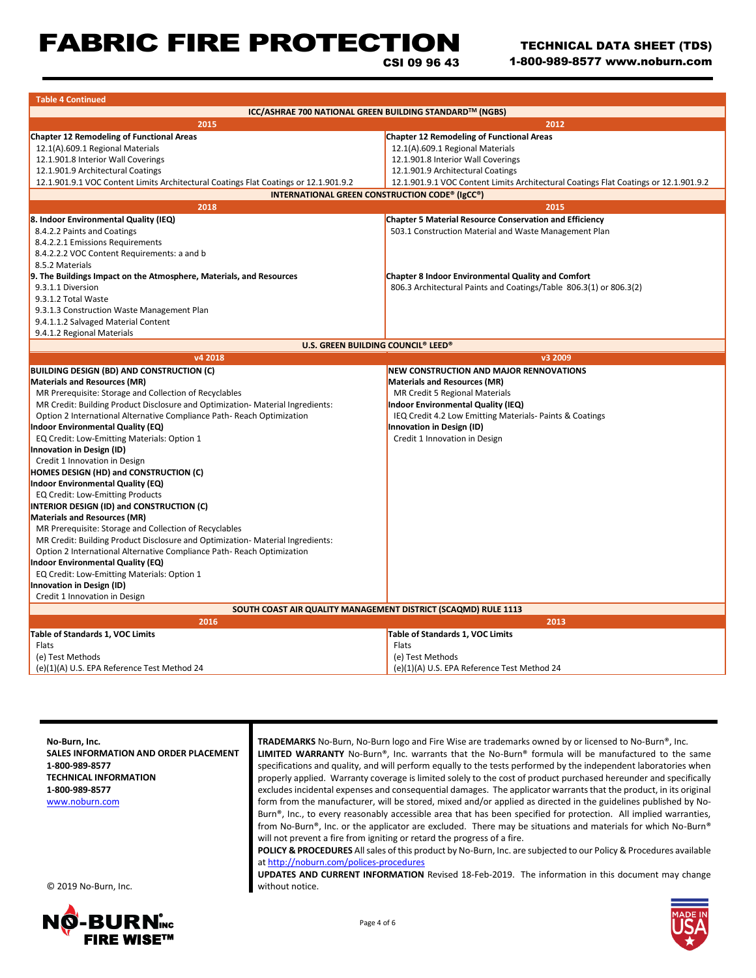# FABRIC FIRE PROTECTION

TECHNICAL DATA SHEET (TDS) 1-800-989-8577 www.noburn.com

CSI 09 96 43

| <b>Table 4 Continued</b>                                                             |                                                                                      |  |  |  |
|--------------------------------------------------------------------------------------|--------------------------------------------------------------------------------------|--|--|--|
| ICC/ASHRAE 700 NATIONAL GREEN BUILDING STANDARD™ (NGBS)                              |                                                                                      |  |  |  |
| 2015                                                                                 | 2012                                                                                 |  |  |  |
| <b>Chapter 12 Remodeling of Functional Areas</b>                                     | <b>Chapter 12 Remodeling of Functional Areas</b>                                     |  |  |  |
| 12.1(A).609.1 Regional Materials                                                     | 12.1(A).609.1 Regional Materials                                                     |  |  |  |
| 12.1.901.8 Interior Wall Coverings                                                   | 12.1.901.8 Interior Wall Coverings                                                   |  |  |  |
| 12.1.901.9 Architectural Coatings                                                    | 12.1.901.9 Architectural Coatings                                                    |  |  |  |
| 12.1.901.9.1 VOC Content Limits Architectural Coatings Flat Coatings or 12.1.901.9.2 | 12.1.901.9.1 VOC Content Limits Architectural Coatings Flat Coatings or 12.1.901.9.2 |  |  |  |
| <b>INTERNATIONAL GREEN CONSTRUCTION CODE® (IgCC®)</b>                                |                                                                                      |  |  |  |
| 2018                                                                                 | 2015                                                                                 |  |  |  |
| 8. Indoor Environmental Quality (IEQ)                                                | <b>Chapter 5 Material Resource Conservation and Efficiency</b>                       |  |  |  |
| 8.4.2.2 Paints and Coatings                                                          | 503.1 Construction Material and Waste Management Plan                                |  |  |  |
| 8.4.2.2.1 Emissions Requirements                                                     |                                                                                      |  |  |  |
| 8.4.2.2.2 VOC Content Requirements: a and b                                          |                                                                                      |  |  |  |
| 8.5.2 Materials                                                                      |                                                                                      |  |  |  |
| 9. The Buildings Impact on the Atmosphere, Materials, and Resources                  | <b>Chapter 8 Indoor Environmental Quality and Comfort</b>                            |  |  |  |
| 9.3.1.1 Diversion                                                                    | 806.3 Architectural Paints and Coatings/Table 806.3(1) or 806.3(2)                   |  |  |  |
| 9.3.1.2 Total Waste                                                                  |                                                                                      |  |  |  |
| 9.3.1.3 Construction Waste Management Plan                                           |                                                                                      |  |  |  |
| 9.4.1.1.2 Salvaged Material Content                                                  |                                                                                      |  |  |  |
| 9.4.1.2 Regional Materials                                                           |                                                                                      |  |  |  |
| U.S. GREEN BUILDING COUNCIL® LEED®                                                   |                                                                                      |  |  |  |
| v4 2018                                                                              | v3 2009                                                                              |  |  |  |
| <b>BUILDING DESIGN (BD) AND CONSTRUCTION (C)</b>                                     | <b>NEW CONSTRUCTION AND MAJOR RENNOVATIONS</b>                                       |  |  |  |
| <b>Materials and Resources (MR)</b>                                                  | <b>Materials and Resources (MR)</b>                                                  |  |  |  |
| MR Prerequisite: Storage and Collection of Recyclables                               | MR Credit 5 Regional Materials                                                       |  |  |  |
| MR Credit: Building Product Disclosure and Optimization- Material Ingredients:       | Indoor Environmental Quality (IEQ)                                                   |  |  |  |
| Option 2 International Alternative Compliance Path-Reach Optimization                | IEQ Credit 4.2 Low Emitting Materials-Paints & Coatings                              |  |  |  |
| <b>Indoor Environmental Quality (EQ)</b>                                             | Innovation in Design (ID)                                                            |  |  |  |
| EQ Credit: Low-Emitting Materials: Option 1                                          | Credit 1 Innovation in Design                                                        |  |  |  |
| Innovation in Design (ID)                                                            |                                                                                      |  |  |  |
| Credit 1 Innovation in Design                                                        |                                                                                      |  |  |  |
| <b>HOMES DESIGN (HD) and CONSTRUCTION (C)</b>                                        |                                                                                      |  |  |  |
| Indoor Environmental Quality (EQ)                                                    |                                                                                      |  |  |  |
| EQ Credit: Low-Emitting Products                                                     |                                                                                      |  |  |  |
| INTERIOR DESIGN (ID) and CONSTRUCTION (C)                                            |                                                                                      |  |  |  |
| <b>Materials and Resources (MR)</b>                                                  |                                                                                      |  |  |  |
| MR Prerequisite: Storage and Collection of Recyclables                               |                                                                                      |  |  |  |
| MR Credit: Building Product Disclosure and Optimization- Material Ingredients:       |                                                                                      |  |  |  |
| Option 2 International Alternative Compliance Path-Reach Optimization                |                                                                                      |  |  |  |
| <b>Indoor Environmental Quality (EQ)</b>                                             |                                                                                      |  |  |  |
| EQ Credit: Low-Emitting Materials: Option 1                                          |                                                                                      |  |  |  |
| Innovation in Design (ID)                                                            |                                                                                      |  |  |  |
| Credit 1 Innovation in Design                                                        |                                                                                      |  |  |  |
| SOUTH COAST AIR QUALITY MANAGEMENT DISTRICT (SCAQMD) RULE 1113                       |                                                                                      |  |  |  |
| 2016                                                                                 | 2013                                                                                 |  |  |  |
| Table of Standards 1, VOC Limits                                                     | Table of Standards 1, VOC Limits                                                     |  |  |  |
| Flats                                                                                | Flats                                                                                |  |  |  |
| (e) Test Methods                                                                     | (e) Test Methods                                                                     |  |  |  |
| (e)(1)(A) U.S. EPA Reference Test Method 24                                          | (e)(1)(A) U.S. EPA Reference Test Method 24                                          |  |  |  |
|                                                                                      |                                                                                      |  |  |  |

**No-Burn, Inc. SALES INFORMATION AND ORDER PLACEMENT 1-800-989-8577 TECHNICAL INFORMATION 1-800-989-8577** [www.noburn.com](http://www.noburn.com/) **TRADEMARKS** No-Burn, No-Burn logo and Fire Wise are trademarks owned by or licensed to No-Burn®, Inc. **LIMITED WARRANTY** No-Burn®, Inc. warrants that the No-Burn® formula will be manufactured to the same specifications and quality, and will perform equally to the tests performed by the independent laboratories when properly applied. Warranty coverage is limited solely to the cost of product purchased hereunder and specifically excludes incidental expenses and consequential damages. The applicator warrants that the product, in its original form from the manufacturer, will be stored, mixed and/or applied as directed in the guidelines published by No-Burn®, Inc., to every reasonably accessible area that has been specified for protection. All implied warranties, from No-Burn®, Inc. or the applicator are excluded. There may be situations and materials for which No-Burn® will not prevent a fire from igniting or retard the progress of a fire. **POLICY & PROCEDURES** All sales of this product by No-Burn, Inc. are subjected to our Policy & Procedures available a[t http://noburn.com/polices-procedures](http://noburn.com/polices-procedures) **UPDATES AND CURRENT INFORMATION** Revised 18-Feb-2019. The information in this document may change

© 2019 No-Burn, Inc.





without notice.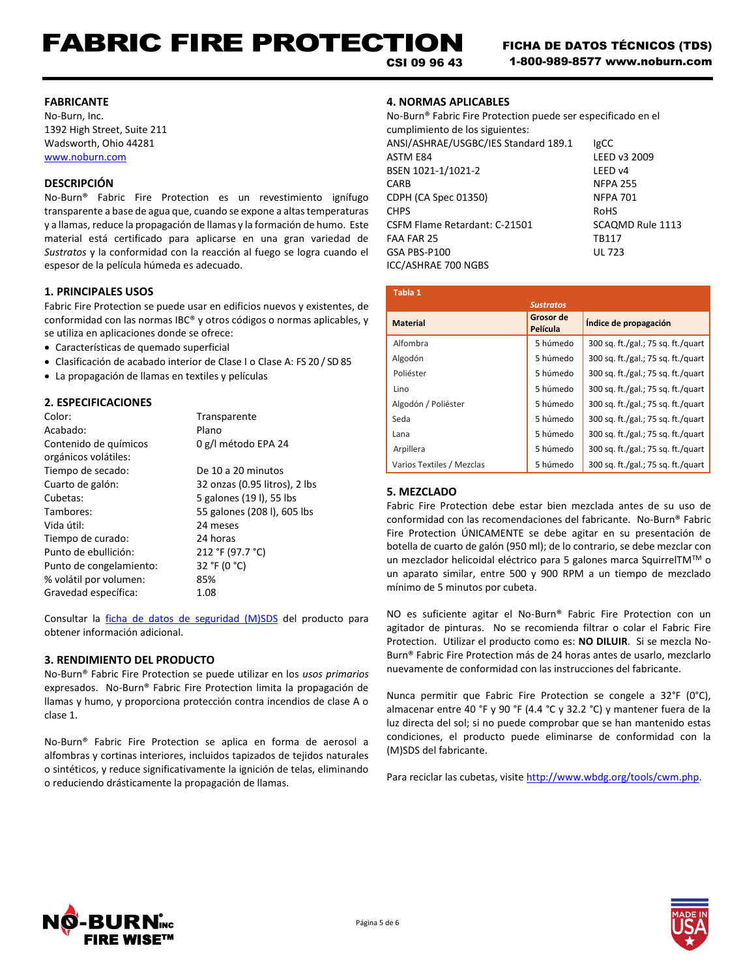# FABRIC FIRE PROTECTION

CSI 09 96 43

### **FABRICANTE**

No-Burn, Inc. 1392 High Street, Suite 211 Wadsworth, Ohio 44281 [www.noburn.com](http://www.noburn.com/)

# **DESCRIPCIÓN**

No-Burn® Fabric Fire Protection es un revestimiento ignífugo transparente a base de agua que, cuando se expone a altas temperaturas y a llamas, reduce la propagación de llamas y la formación de humo. Este material está certificado para aplicarse en una gran variedad de *Sustratos* y la conformidad con la reacción al fuego se logra cuando el espesor de la película húmeda es adecuado.

### **1. PRINCIPALES USOS**

Fabric Fire Protection se puede usar en edificios nuevos y existentes, de conformidad con las normas IBC® y otros códigos o normas aplicables, y se utiliza en aplicaciones donde se ofrece:

- Características de quemado superficial
- Clasificación de acabado interior de Clase I o Clase A: FS 20 / SD 85
- La propagación de llamas en textiles y películas

## **2. ESPECIFICACIONES**

| Color:                  | Transparente                  |
|-------------------------|-------------------------------|
| Acabado:                | Plano                         |
| Contenido de químicos   | 0 g/l método EPA 24           |
| orgánicos volátiles:    |                               |
| Tiempo de secado:       | De 10 a 20 minutos            |
| Cuarto de galón:        | 32 onzas (0.95 litros), 2 lbs |
| Cubetas:                | 5 galones (191), 55 lbs       |
| Tambores:               | 55 galones (208 l), 605 lbs   |
| Vida útil:              | 24 meses                      |
| Tiempo de curado:       | 24 horas                      |
| Punto de ebullición:    | 212 °F (97.7 °C)              |
| Punto de congelamiento: | 32 °F (0 °C)                  |
| % volátil por volumen:  | 85%                           |
| Gravedad específica:    | 1.08                          |

Consultar la *ficha de datos de seguridad (M)SDS* del producto para obtener información adicional.

### **3. RENDIMIENTO DEL PRODUCTO**

No-Burn® Fabric Fire Protection se puede utilizar en los *usos primarios* expresados. No-Burn® Fabric Fire Protection limita la propagación de llamas y humo, y proporciona protección contra incendios de clase A o clase 1.

No-Burn® Fabric Fire Protection se aplica en forma de aerosol a alfombras y cortinas interiores, incluidos tapizados de tejidos naturales o sintéticos, y reduce significativamente la ignición de telas, eliminando o reduciendo drásticamente la propagación de llamas.

## **4. NORMAS APLICABLES**

No-Burn® Fabric Fire Protection puede ser especificado en el cumplimiento de los siguientes: ANSI/ASHRAE/USGBC/IES Standard 189.1 IgCC ASTM E84 LEED v3 2009 BSEN 1021-1/1021-2 LEED v4 CARB NFPA 255 CDPH (CA Spec 01350) NFPA 701 CHPS ROHS CSFM Flame Retardant: C-21501 SCAQMD Rule 1113 FAA FAR 25 TR117 GSA PBS-P100 UL 723 ICC/ASHRAE 700 NGBS

| Tabla 1                   |                       |                                    |
|---------------------------|-----------------------|------------------------------------|
|                           | <b>Sustratos</b>      |                                    |
| <b>Material</b>           | Grosor de<br>Película | Indice de propagación              |
| Alfombra                  | 5 húmedo              | 300 sq. ft./gal.; 75 sq. ft./quart |
| Algodón                   | 5 húmedo              | 300 sq. ft./gal.; 75 sq. ft./quart |
| Poliéster                 | 5 húmedo              | 300 sq. ft./gal.; 75 sq. ft./quart |
| Lino                      | 5 húmedo              | 300 sq. ft./gal.; 75 sq. ft./quart |
| Algodón / Poliéster       | 5 húmedo              | 300 sq. ft./gal.; 75 sq. ft./quart |
| Seda                      | 5 húmedo              | 300 sq. ft./gal.; 75 sq. ft./quart |
| Lana                      | 5 húmedo              | 300 sq. ft./gal.; 75 sq. ft./quart |
| Arpillera                 | 5 húmedo              | 300 sq. ft./gal.; 75 sq. ft./quart |
| Varios Textiles / Mezclas | 5 húmedo              | 300 sq. ft./gal.; 75 sq. ft./quart |

### **5. MEZCLADO**

Fabric Fire Protection debe estar bien mezclada antes de su uso de conformidad con las recomendaciones del fabricante. No-Burn® Fabric Fire Protection ÚNICAMENTE se debe agitar en su presentación de botella de cuarto de galón (950 ml); de lo contrario, se debe mezclar con un mezclador helicoidal eléctrico para 5 galones marca SquirrelTMTM o un aparato similar, entre 500 y 900 RPM a un tiempo de mezclado mínimo de 5 minutos por cubeta.

NO es suficiente agitar el No-Burn® Fabric Fire Protection con un agitador de pinturas. No se recomienda filtrar o colar el Fabric Fire Protection. Utilizar el producto como es: **NO DILUIR**. Si se mezcla No-Burn® Fabric Fire Protection más de 24 horas antes de usarlo, mezclarlo nuevamente de conformidad con las instrucciones del fabricante.

Nunca permitir que Fabric Fire Protection se congele a 32°F (0°C), almacenar entre 40 °F y 90 °F (4.4 °C y 32.2 °C) y mantener fuera de la luz directa del sol; si no puede comprobar que se han mantenido estas condiciones, el producto puede eliminarse de conformidad con la (M)SDS del fabricante.

Para reciclar las cubetas, visite http://www.wbdg.org/tools/cwm.php.